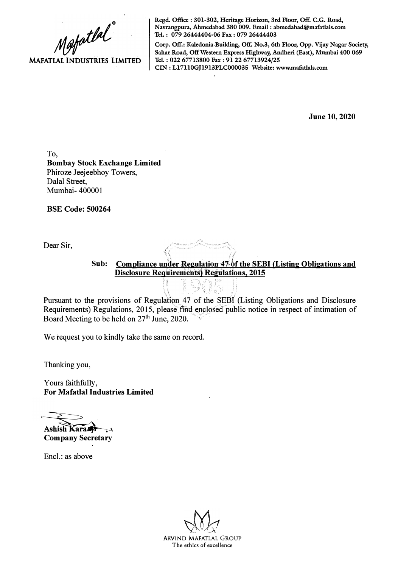**Mapathal MAFATLAL INDUSTRIES LIMITED** 

**Regd. Office : 301-302, Heritage Horizon, 3rd Floor, Off. C.G. Road, Navrangpura, Ahmedabad 380 009. Email : abmedabad@mafatlals.com Tel. : 079 26444404-06 Fax : 079 26444403** 

**Corp. Off.: Kaledonia Building, Off. No.3, 6th Floor, Opp. Vijay Nagar Society, Sahar Road, Off Western Express Highway, Andheri (East), Mumbai 400 069 Tel. : 022 67713800 Fax : 91 22 67713924/25 CIN : Ll7110GJ1913PLC000035 Website: www.mafatlals.com** 

**June 10, 2020** 

To, **Bombay Stock Exchange Limited**  Phiroze Jeejeebhoy Towers, Dalal Street, Mumbai- 400001

**BSE Code: 500264** 

Dear Sir,

Sub: Compliance under Regulation 47 of the SEBI (Listing Obligations and **Disclosure Requirements) Regulations, 2015** i... $\mathbb{T} \times \mathbb{T} \times \mathbb{T} \times \mathbb{T}$ 

' '

Pursuant to the provisions of Regulation 47 of the SEBI (Listing Obligations and Disclosure Requirements) Regulations, 2015, please find enclosed public notice in respect of intimation of Board Meeting to be held on 27<sup>th</sup> June, 2020.

'. : ' \\_, ''. '

We request you to kindly take the same on record.

Thanking you,

Yours faithfully, **For Mafatlal Industries Limited** 

Ashish Karam

**Company Secretary** 

Encl.: as above

ARVIND MAFATLAL GROUP The ethics of excellence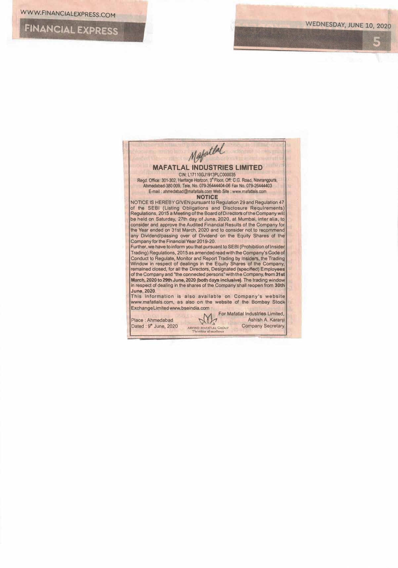**FINANCIAL EXPRESS**